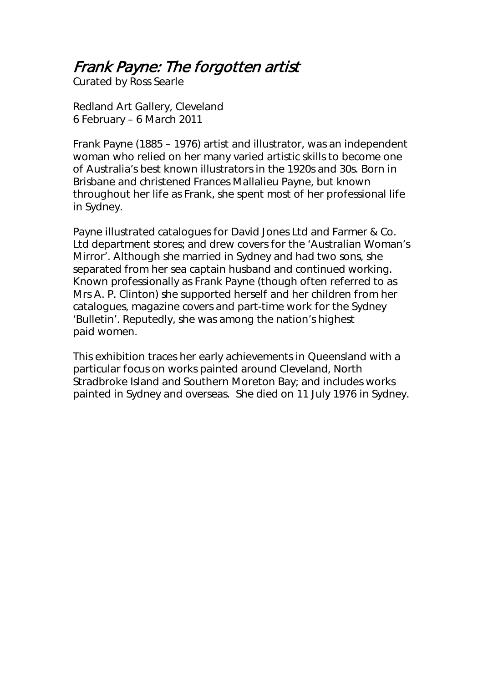# Frank Payne: The forgotten artist

Curated by Ross Searle

Redland Art Gallery, Cleveland 6 February – 6 March 2011

Frank Payne (1885 – 1976) artist and illustrator, was an independent woman who relied on her many varied artistic skills to become one of Australia's best known illustrators in the 1920s and 30s. Born in Brisbane and christened Frances Mallalieu Payne, but known throughout her life as Frank, she spent most of her professional life in Sydney.

Payne illustrated catalogues for David Jones Ltd and Farmer & Co. Ltd department stores; and drew covers for the 'Australian Woman's Mirror'. Although she married in Sydney and had two sons, she separated from her sea captain husband and continued working. Known professionally as Frank Payne (though often referred to as Mrs A. P. Clinton) she supported herself and her children from her catalogues, magazine covers and part-time work for the Sydney 'Bulletin'. Reputedly, she was among the nation's highest paid women.

This exhibition traces her early achievements in Queensland with a particular focus on works painted around Cleveland, North Stradbroke Island and Southern Moreton Bay; and includes works painted in Sydney and overseas. She died on 11 July 1976 in Sydney.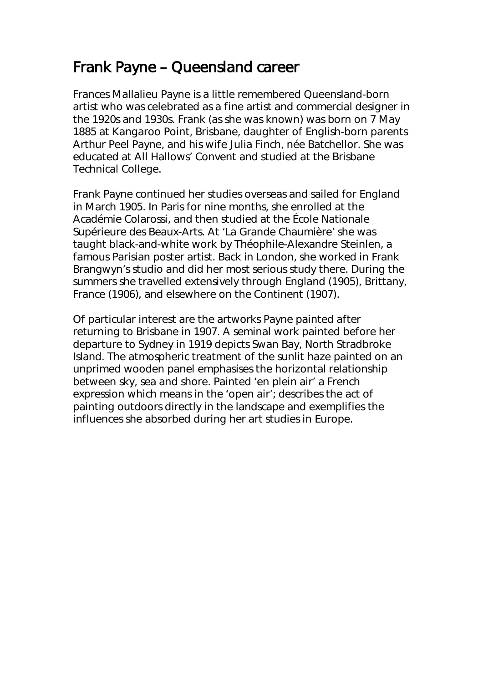#### Frank Payne – Queensland career

Frances Mallalieu Payne is a little remembered Queensland-born artist who was celebrated as a fine artist and commercial designer in the 1920s and 1930s. Frank (as she was known) was born on 7 May 1885 at Kangaroo Point, Brisbane, daughter of English-born parents Arthur Peel Payne, and his wife Julia Finch, née Batchellor. She was educated at All Hallows' Convent and studied at the Brisbane Technical College.

Frank Payne continued her studies overseas and sailed for England in March 1905. In Paris for nine months, she enrolled at the Académie Colarossi, and then studied at the École Nationale Supérieure des Beaux-Arts. At 'La Grande Chaumière' she was taught black-and-white work by Théophile-Alexandre Steinlen, a famous Parisian poster artist. Back in London, she worked in Frank Brangwyn's studio and did her most serious study there. During the summers she travelled extensively through England (1905), Brittany, France (1906), and elsewhere on the Continent (1907).

Of particular interest are the artworks Payne painted after returning to Brisbane in 1907. A seminal work painted before her departure to Sydney in 1919 depicts Swan Bay, North Stradbroke Island. The atmospheric treatment of the sunlit haze painted on an unprimed wooden panel emphasises the horizontal relationship between sky, sea and shore. Painted 'en plein air' a French expression which means in the 'open air'; describes the act of painting outdoors directly in the landscape and exemplifies the influences she absorbed during her art studies in Europe.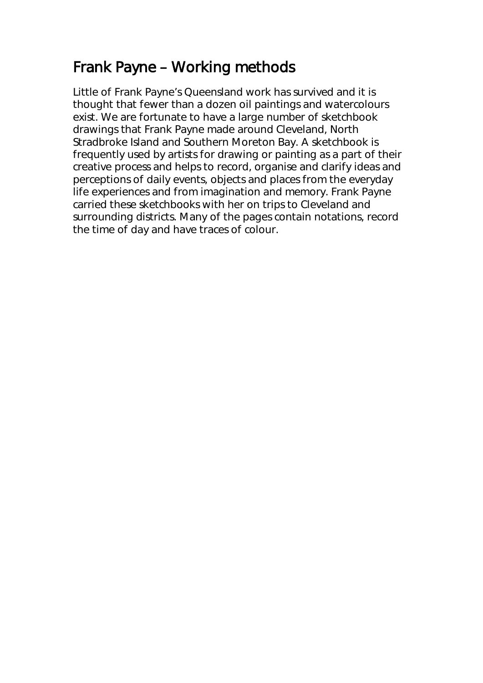# Frank Payne – Working methods

Little of Frank Payne's Queensland work has survived and it is thought that fewer than a dozen oil paintings and watercolours exist. We are fortunate to have a large number of sketchbook drawings that Frank Payne made around Cleveland, North Stradbroke Island and Southern Moreton Bay. A sketchbook is frequently used by artists for drawing or painting as a part of their creative process and helps to record, organise and clarify ideas and perceptions of daily events, objects and places from the everyday life experiences and from imagination and memory. Frank Payne carried these sketchbooks with her on trips to Cleveland and surrounding districts. Many of the pages contain notations, record the time of day and have traces of colour.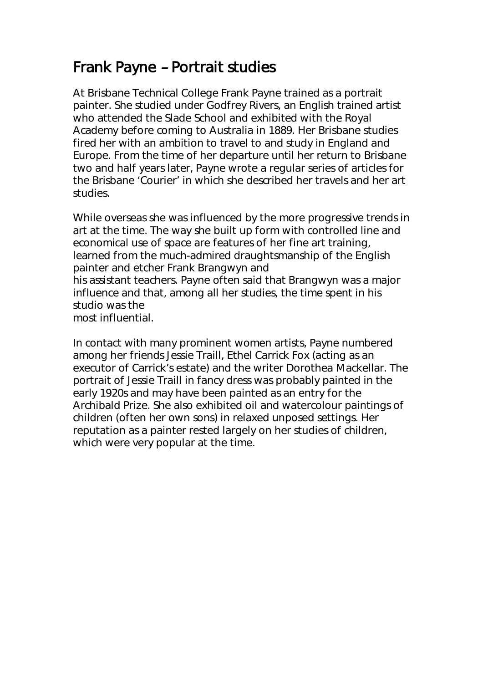### Frank Payne – Portrait studies

At Brisbane Technical College Frank Payne trained as a portrait painter. She studied under Godfrey Rivers, an English trained artist who attended the Slade School and exhibited with the Royal Academy before coming to Australia in 1889. Her Brisbane studies fired her with an ambition to travel to and study in England and Europe. From the time of her departure until her return to Brisbane two and half years later, Payne wrote a regular series of articles for the Brisbane 'Courier' in which she described her travels and her art studies.

While overseas she was influenced by the more progressive trends in art at the time. The way she built up form with controlled line and economical use of space are features of her fine art training, learned from the much-admired draughtsmanship of the English painter and etcher Frank Brangwyn and his assistant teachers. Payne often said that Brangwyn was a major influence and that, among all her studies, the time spent in his studio was the

most influential.

In contact with many prominent women artists, Payne numbered among her friends Jessie Traill, Ethel Carrick Fox (acting as an executor of Carrick's estate) and the writer Dorothea Mackellar. The portrait of Jessie Traill in fancy dress was probably painted in the early 1920s and may have been painted as an entry for the Archibald Prize. She also exhibited oil and watercolour paintings of children (often her own sons) in relaxed unposed settings. Her reputation as a painter rested largely on her studies of children, which were very popular at the time.